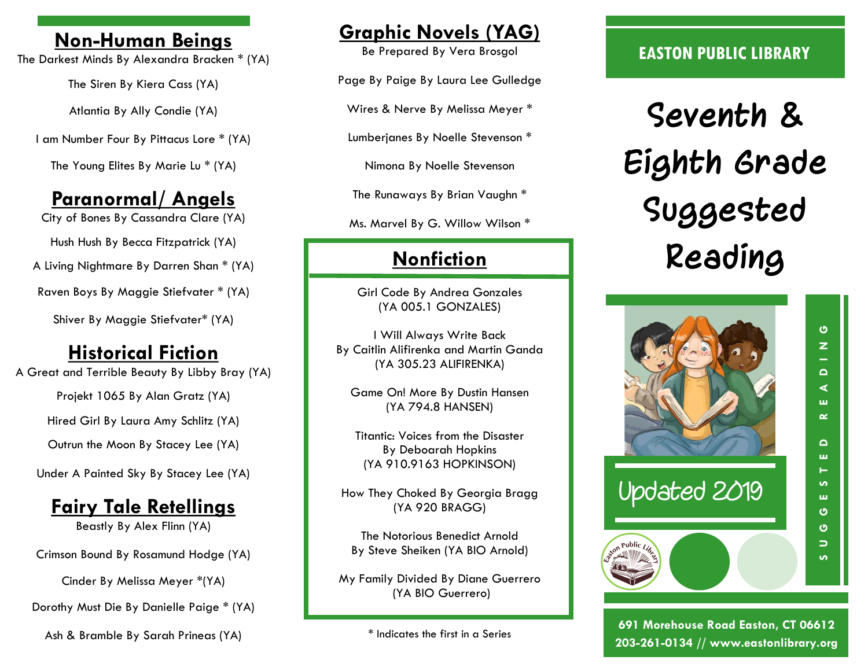### **Non-Human Beings**

The Darkest Minds By Alexandra Bracken \* (YA)

The Siren By Kiera Cass (YA)

Atlantia By Ally Condie (YA)

I am Number Four By Pittacus Lore \* (YA)

The Young Elites By Marie Lu \* (YA)

# **Paranormal/ Angels**

City of Bones By Cassandra Clare (YA)

Hush Hush By Becca Fitzpatrick (YA)

A Living Nightmare By Darren Shan \* (YA)

Raven Boys By [Maggie Stiefvater](http://www.goodreads.com/author/show/1330292.Maggie_Stiefvater) \* (YA)

Shiver By Maggie Stiefvater\* (YA)

### **Historical Fiction**

A Great and Terrible Beauty By Libby Bray (YA)

Projekt 1065 By Alan Gratz (YA)

Hired Girl By Laura Amy Schlitz (YA)

Outrun the Moon By Stacey Lee (YA)

Under A Painted Sky By Stacey Lee (YA)

# **Fairy Tale Retellings**

Beastly By Alex Flinn (YA)

Crimson Bound By Rosamund Hodge (YA)

Cinder By Melissa Meyer \*(YA)

Dorothy Must Die By Danielle Paige \* (YA)

Ash & Bramble By Sarah Prineas (YA)

## **Graphic Novels (YAG)**

Be Prepared By Vera Brosgol

Page By Paige By Laura Lee Gulledge

Wires & Nerve By Melissa Meyer \*

Lumberjanes By Noelle Stevenson \*

Nimona By Noelle Stevenson

The Runaways By Brian Vaughn \*

Ms. Marvel By G. Willow Wilson \*

# **Nonfiction**

Girl Code By Andrea Gonzales (YA 005.1 GONZALES)

I Will Always Write Back By Caitlin Alifirenka and Martin Ganda (YA 305.23 ALIFIRENKA)

Game On! More By Dustin Hansen (YA 794.8 HANSEN)

Titantic: Voices from the Disaster By Deboarah Hopkins (YA 910.9163 HOPKINSON)

How They Choked By Georgia Bragg (YA 920 BRAGG)

The Notorious Benedict Arnold By Steve Sheiken (YA BIO Arnold)

My Family Divided By Diane Guerrero (YA BIO Guerrero)

\* Indicates the first in a Series

#### **EASTON PUBLIC LIBRARY**

**Seventh & Eighth Grade Suggested Reading**



S O G E S T E D R E A D I N G<br>S

 $\Omega$ ш н S, ш  $\ddot{\mathbf{C}}$  $\ddot{\circ}$ 

 $\Rightarrow$ **i** 

ပ  $\overline{z}$ - $\Omega$  $\blacktriangleleft$ ш  $\sim$ 

**691 Morehouse Road Easton, CT 06612 203-261-0134 // www.eastonlibrary.org**